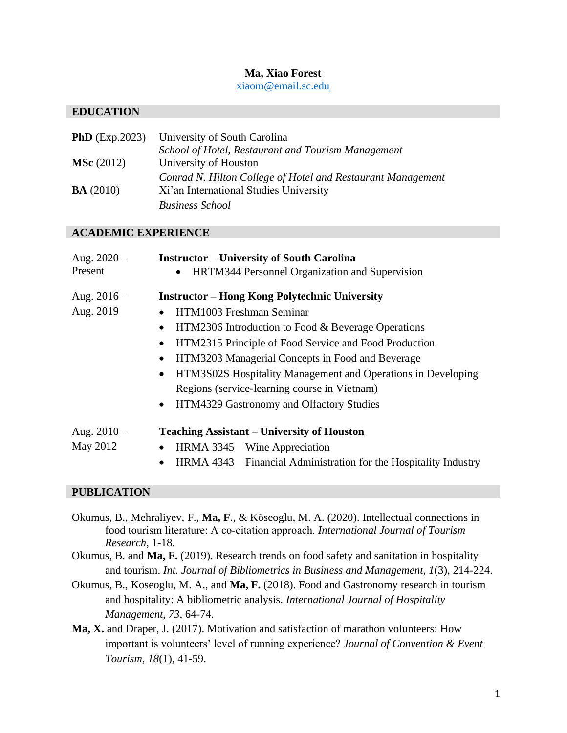# **Ma, Xiao Forest**

[xiaom@email.sc.edu](mailto:xiaom@email.sc.edu)

### **EDUCATION**

|                     | <b>PhD</b> (Exp.2023) University of South Carolina          |
|---------------------|-------------------------------------------------------------|
|                     | School of Hotel, Restaurant and Tourism Management          |
| <b>MSc</b> $(2012)$ | University of Houston                                       |
|                     | Conrad N. Hilton College of Hotel and Restaurant Management |
| BA(2010)            | Xi'an International Studies University                      |
|                     | <b>Business School</b>                                      |

#### **ACADEMIC EXPERIENCE**

| Aug. $2020 -$ | <b>Instructor – University of South Carolina</b>                          |
|---------------|---------------------------------------------------------------------------|
| Present       | HRTM344 Personnel Organization and Supervision                            |
| Aug. $2016 -$ | <b>Instructor – Hong Kong Polytechnic University</b>                      |
| Aug. 2019     | HTM1003 Freshman Seminar                                                  |
|               | HTM2306 Introduction to Food & Beverage Operations<br>$\bullet$           |
|               | HTM2315 Principle of Food Service and Food Production<br>$\bullet$        |
|               | HTM3203 Managerial Concepts in Food and Beverage<br>$\bullet$             |
|               | HTM3S02S Hospitality Management and Operations in Developing<br>$\bullet$ |
|               | Regions (service-learning course in Vietnam)                              |
|               | HTM4329 Gastronomy and Olfactory Studies<br>$\bullet$                     |
| Aug. $2010 -$ | <b>Teaching Assistant – University of Houston</b>                         |
| May 2012      | HRMA 3345—Wine Appreciation<br>$\bullet$                                  |
|               | HRMA 4343—Financial Administration for the Hospitality Industry           |

# **PUBLICATION**

- Okumus, B., Mehraliyev, F., **Ma, F**., & Köseoglu, M. A. (2020). Intellectual connections in food tourism literature: A co‐citation approach. *International Journal of Tourism Research*, 1-18.
- Okumus, B. and **Ma, F.** (2019). Research trends on food safety and sanitation in hospitality and tourism. *Int. Journal of Bibliometrics in Business and Management, 1*(3), 214-224.
- Okumus, B., Koseoglu, M. A., and **Ma, F.** (2018). Food and Gastronomy research in tourism and hospitality: A bibliometric analysis. *International Journal of Hospitality Management*, *73*, 64-74.
- **Ma, X.** and Draper, J. (2017). Motivation and satisfaction of marathon volunteers: How important is volunteers' level of running experience? *Journal of Convention & Event Tourism, 18*(1), 41-59.